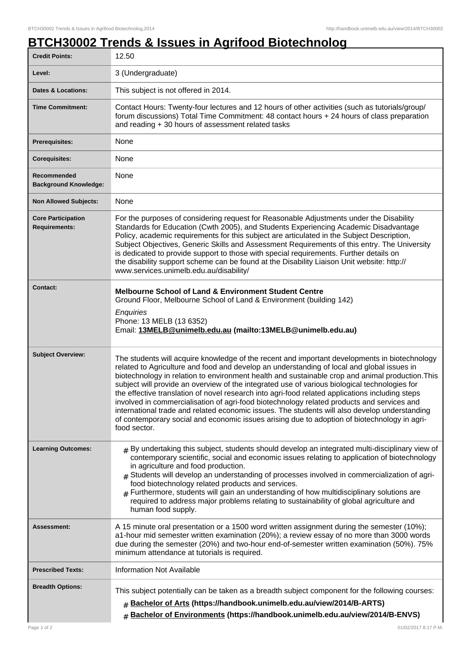## **BTCH30002 Trends & Issues in Agrifood Biotechnolog**

| <b>Credit Points:</b>                             | 12.50                                                                                                                                                                                                                                                                                                                                                                                                                                                                                                                                                                                                                                                                                                                                                                                                              |
|---------------------------------------------------|--------------------------------------------------------------------------------------------------------------------------------------------------------------------------------------------------------------------------------------------------------------------------------------------------------------------------------------------------------------------------------------------------------------------------------------------------------------------------------------------------------------------------------------------------------------------------------------------------------------------------------------------------------------------------------------------------------------------------------------------------------------------------------------------------------------------|
| Level:                                            | 3 (Undergraduate)                                                                                                                                                                                                                                                                                                                                                                                                                                                                                                                                                                                                                                                                                                                                                                                                  |
| <b>Dates &amp; Locations:</b>                     | This subject is not offered in 2014.                                                                                                                                                                                                                                                                                                                                                                                                                                                                                                                                                                                                                                                                                                                                                                               |
| <b>Time Commitment:</b>                           | Contact Hours: Twenty-four lectures and 12 hours of other activities (such as tutorials/group/<br>forum discussions) Total Time Commitment: 48 contact hours + 24 hours of class preparation<br>and reading + 30 hours of assessment related tasks                                                                                                                                                                                                                                                                                                                                                                                                                                                                                                                                                                 |
| Prerequisites:                                    | None                                                                                                                                                                                                                                                                                                                                                                                                                                                                                                                                                                                                                                                                                                                                                                                                               |
| <b>Corequisites:</b>                              | None                                                                                                                                                                                                                                                                                                                                                                                                                                                                                                                                                                                                                                                                                                                                                                                                               |
| Recommended<br><b>Background Knowledge:</b>       | None                                                                                                                                                                                                                                                                                                                                                                                                                                                                                                                                                                                                                                                                                                                                                                                                               |
| <b>Non Allowed Subjects:</b>                      | None                                                                                                                                                                                                                                                                                                                                                                                                                                                                                                                                                                                                                                                                                                                                                                                                               |
| <b>Core Participation</b><br><b>Requirements:</b> | For the purposes of considering request for Reasonable Adjustments under the Disability<br>Standards for Education (Cwth 2005), and Students Experiencing Academic Disadvantage<br>Policy, academic requirements for this subject are articulated in the Subject Description,<br>Subject Objectives, Generic Skills and Assessment Requirements of this entry. The University<br>is dedicated to provide support to those with special requirements. Further details on<br>the disability support scheme can be found at the Disability Liaison Unit website: http://<br>www.services.unimelb.edu.au/disability/                                                                                                                                                                                                   |
| <b>Contact:</b>                                   | <b>Melbourne School of Land &amp; Environment Student Centre</b><br>Ground Floor, Melbourne School of Land & Environment (building 142)<br>Enquiries<br>Phone: 13 MELB (13 6352)<br>Email: 13MELB@unimelb.edu.au (mailto:13MELB@unimelb.edu.au)                                                                                                                                                                                                                                                                                                                                                                                                                                                                                                                                                                    |
| <b>Subject Overview:</b>                          | The students will acquire knowledge of the recent and important developments in biotechnology<br>related to Agriculture and food and develop an understanding of local and global issues in<br>biotechnology in relation to environment health and sustainable crop and animal production. This<br>subject will provide an overview of the integrated use of various biological technologies for<br>the effective translation of novel research into agri-food related applications including steps<br>involved in commercialisation of agri-food biotechnology related products and services and<br>international trade and related economic issues. The students will also develop understanding<br>of contemporary social and economic issues arising due to adoption of biotechnology in agri-<br>food sector. |
| <b>Learning Outcomes:</b>                         | $*$ By undertaking this subject, students should develop an integrated multi-disciplinary view of<br>contemporary scientific, social and economic issues relating to application of biotechnology<br>in agriculture and food production.<br>Students will develop an understanding of processes involved in commercialization of agri-<br>food biotechnology related products and services.<br>$#$ Furthermore, students will gain an understanding of how multidisciplinary solutions are<br>required to address major problems relating to sustainability of global agriculture and<br>human food supply.                                                                                                                                                                                                        |
| Assessment:                                       | A 15 minute oral presentation or a 1500 word written assignment during the semester (10%);<br>a1-hour mid semester written examination (20%); a review essay of no more than 3000 words<br>due during the semester (20%) and two-hour end-of-semester written examination (50%). 75%<br>minimum attendance at tutorials is required.                                                                                                                                                                                                                                                                                                                                                                                                                                                                               |
| <b>Prescribed Texts:</b>                          | <b>Information Not Available</b>                                                                                                                                                                                                                                                                                                                                                                                                                                                                                                                                                                                                                                                                                                                                                                                   |
| <b>Breadth Options:</b>                           | This subject potentially can be taken as a breadth subject component for the following courses:<br>Bachelor of Arts (https://handbook.unimelb.edu.au/view/2014/B-ARTS)<br>$\#$<br>Bachelor of Environments (https://handbook.unimelb.edu.au/view/2014/B-ENVS)<br>$\#$                                                                                                                                                                                                                                                                                                                                                                                                                                                                                                                                              |